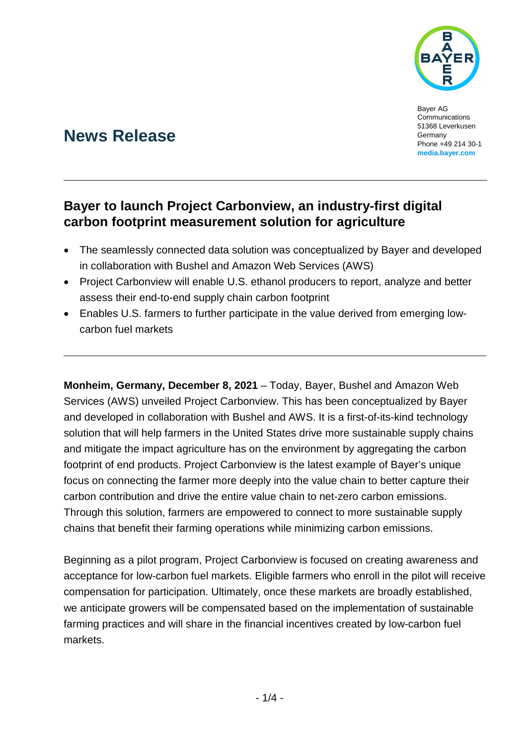

Bayer AG Communications 51368 Leverkusen Germany Phone +49 214 30-1 **[media.bayer.com](http://media.bayer.com/)**

# **News Release**

## **Bayer to launch Project Carbonview, an industry-first digital carbon footprint measurement solution for agriculture**

- The seamlessly connected data solution was conceptualized by Bayer and developed in collaboration with Bushel and Amazon Web Services (AWS)
- Project Carbonview will enable U.S. ethanol producers to report, analyze and better assess their end-to-end supply chain carbon footprint
- Enables U.S. farmers to further participate in the value derived from emerging lowcarbon fuel markets

**Monheim, Germany, December 8, 2021** – Today, Bayer, Bushel and Amazon Web Services (AWS) unveiled Project Carbonview. This has been conceptualized by Bayer and developed in collaboration with Bushel and AWS. It is a first-of-its-kind technology solution that will help farmers in the United States drive more sustainable supply chains and mitigate the impact agriculture has on the environment by aggregating the carbon footprint of end products. Project Carbonview is the latest example of Bayer's unique focus on connecting the farmer more deeply into the value chain to better capture their carbon contribution and drive the entire value chain to net-zero carbon emissions. Through this solution, farmers are empowered to connect to more sustainable supply chains that benefit their farming operations while minimizing carbon emissions.

Beginning as a pilot program, Project Carbonview is focused on creating awareness and acceptance for low-carbon fuel markets. Eligible farmers who enroll in the pilot will receive compensation for participation. Ultimately, once these markets are broadly established, we anticipate growers will be compensated based on the implementation of sustainable farming practices and will share in the financial incentives created by low-carbon fuel markets.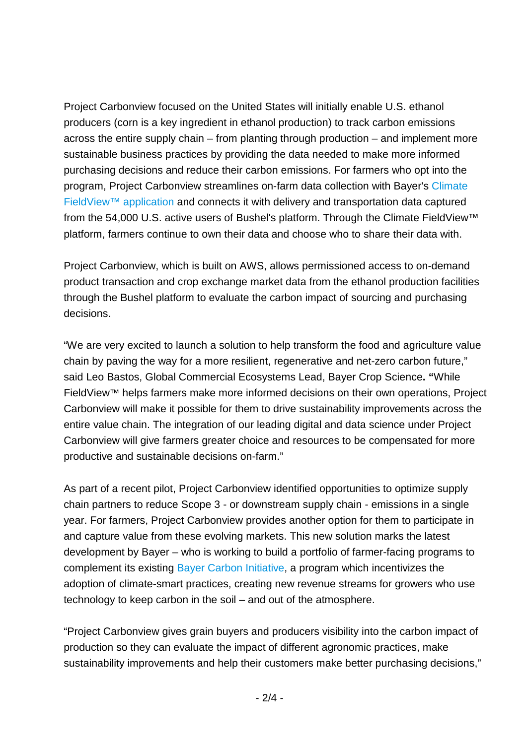Project Carbonview focused on the United States will initially enable U.S. ethanol producers (corn is a key ingredient in ethanol production) to track carbon emissions across the entire supply chain – from planting through production – and implement more sustainable business practices by providing the data needed to make more informed purchasing decisions and reduce their carbon emissions. For farmers who opt into the program, Project Carbonview streamlines on-farm data collection with Bayer's [Climate](https://climate.com/)  [FieldView™ application](https://climate.com/) and connects it with delivery and transportation data captured from the 54,000 U.S. active users of Bushel's platform. Through the Climate FieldView™ platform, farmers continue to own their data and choose who to share their data with.

Project Carbonview, which is built on AWS, allows permissioned access to on-demand product transaction and crop exchange market data from the ethanol production facilities through the Bushel platform to evaluate the carbon impact of sourcing and purchasing decisions.

"We are very excited to launch a solution to help transform the food and agriculture value chain by paving the way for a more resilient, regenerative and net-zero carbon future," said Leo Bastos, Global Commercial Ecosystems Lead, Bayer Crop Science**. "**While FieldView™ helps farmers make more informed decisions on their own operations, Project Carbonview will make it possible for them to drive sustainability improvements across the entire value chain. The integration of our leading digital and data science under Project Carbonview will give farmers greater choice and resources to be compensated for more productive and sustainable decisions on-farm."

As part of a recent pilot, Project Carbonview identified opportunities to optimize supply chain partners to reduce Scope 3 - or downstream supply chain - emissions in a single year. For farmers, Project Carbonview provides another option for them to participate in and capture value from these evolving markets. This new solution marks the latest development by Bayer – who is working to build a portfolio of farmer-facing programs to complement its existing [Bayer Carbon Initiative,](https://www.cropscience.bayer.com/who-we-are/farmer-partner-resources/carbon-program/united-states) a program which incentivizes the adoption of climate-smart practices, creating new revenue streams for growers who use technology to keep carbon in the soil – and out of the atmosphere.

"Project Carbonview gives grain buyers and producers visibility into the carbon impact of production so they can evaluate the impact of different agronomic practices, make sustainability improvements and help their customers make better purchasing decisions,"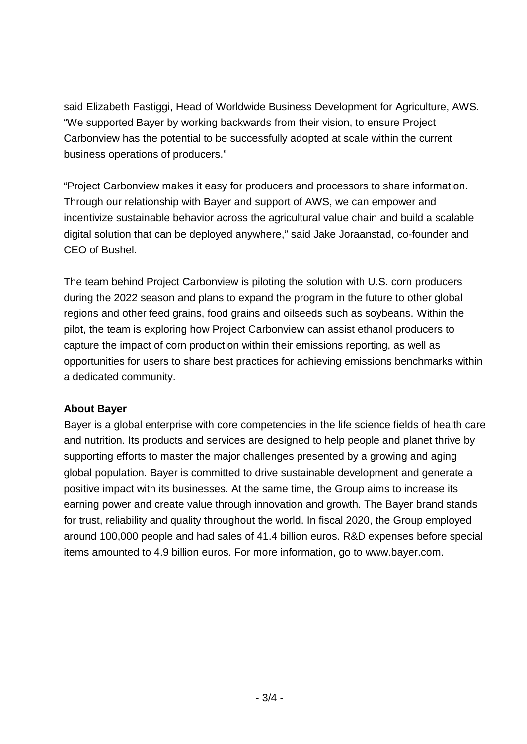said Elizabeth Fastiggi, Head of Worldwide Business Development for Agriculture, AWS. "We supported Bayer by working backwards from their vision, to ensure Project Carbonview has the potential to be successfully adopted at scale within the current business operations of producers."

"Project Carbonview makes it easy for producers and processors to share information. Through our relationship with Bayer and support of AWS, we can empower and incentivize sustainable behavior across the agricultural value chain and build a scalable digital solution that can be deployed anywhere," said Jake Joraanstad, co-founder and CEO of Bushel.

The team behind Project Carbonview is piloting the solution with U.S. corn producers during the 2022 season and plans to expand the program in the future to other global regions and other feed grains, food grains and oilseeds such as soybeans. Within the pilot, the team is exploring how Project Carbonview can assist ethanol producers to capture the impact of corn production within their emissions reporting, as well as opportunities for users to share best practices for achieving emissions benchmarks within a dedicated community.

### **About Bayer**

Bayer is a global enterprise with core competencies in the life science fields of health care and nutrition. Its products and services are designed to help people and planet thrive by supporting efforts to master the major challenges presented by a growing and aging global population. Bayer is committed to drive sustainable development and generate a positive impact with its businesses. At the same time, the Group aims to increase its earning power and create value through innovation and growth. The Bayer brand stands for trust, reliability and quality throughout the world. In fiscal 2020, the Group employed around 100,000 people and had sales of 41.4 billion euros. R&D expenses before special items amounted to 4.9 billion euros. For more information, go to [www.bayer.com.](http://www.bayer.com/)